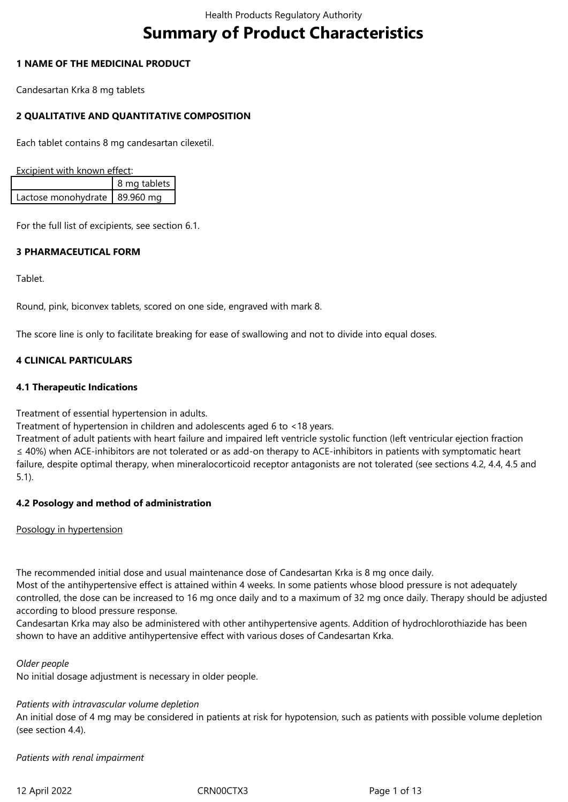# **Summary of Product Characteristics**

### **1 NAME OF THE MEDICINAL PRODUCT**

Candesartan Krka 8 mg tablets

# **2 QUALITATIVE AND QUANTITATIVE COMPOSITION**

Each tablet contains 8 mg candesartan cilexetil.

Excipient with known effect:

|                                 | 8 mg tablets 1 |  |
|---------------------------------|----------------|--|
| Lactose monohydrate   89.960 mq |                |  |

For the full list of excipients, see section 6.1.

#### **3 PHARMACEUTICAL FORM**

Tablet.

Round, pink, biconvex tablets, scored on one side, engraved with mark 8.

The score line is only to facilitate breaking for ease of swallowing and not to divide into equal doses.

# **4 CLINICAL PARTICULARS**

#### **4.1 Therapeutic Indications**

Treatment of essential hypertension in adults.

Treatment of hypertension in children and adolescents aged 6 to <18 years.

Treatment of adult patients with heart failure and impaired left ventricle systolic function (left ventricular ejection fraction ≤ 40%) when ACE-inhibitors are not tolerated or as add-on therapy to ACE-inhibitors in patients with symptomatic heart failure, despite optimal therapy, when mineralocorticoid receptor antagonists are not tolerated (see sections 4.2, 4.4, 4.5 and 5.1).

#### **4.2 Posology and method of administration**

Posology in hypertension

The recommended initial dose and usual maintenance dose of Candesartan Krka is 8 mg once daily.

Most of the antihypertensive effect is attained within 4 weeks. In some patients whose blood pressure is not adequately controlled, the dose can be increased to 16 mg once daily and to a maximum of 32 mg once daily. Therapy should be adjusted according to blood pressure response.

Candesartan Krka may also be administered with other antihypertensive agents. Addition of hydrochlorothiazide has been shown to have an additive antihypertensive effect with various doses of Candesartan Krka.

#### *Older people*

No initial dosage adjustment is necessary in older people.

# *Patients with intravascular volume depletion*

An initial dose of 4 mg may be considered in patients at risk for hypotension, such as patients with possible volume depletion (see section 4.4).

*Patients with renal impairment*

12 April 2022 CRN00CTX3 Page 1 of 13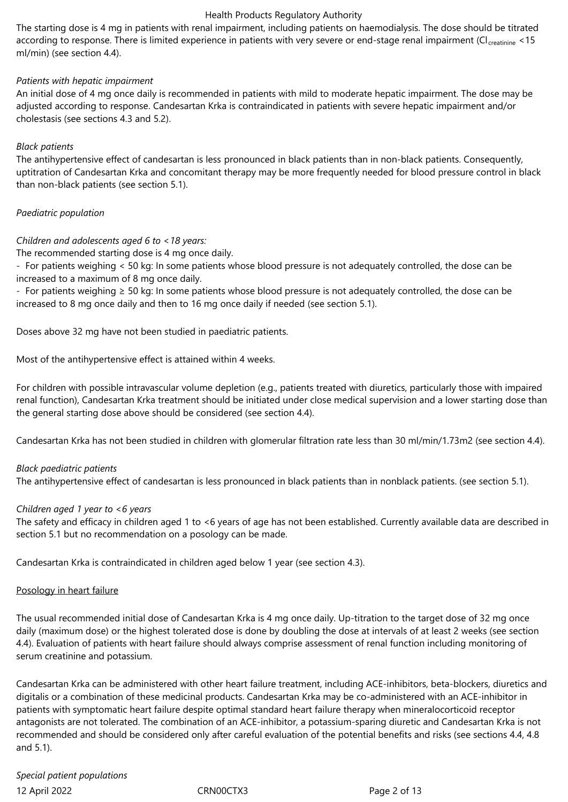The starting dose is 4 mg in patients with renal impairment, including patients on haemodialysis. The dose should be titrated according to response. There is limited experience in patients with very severe or end-stage renal impairment (CI creatinine <15 ml/min) (see section 4.4).

## *Patients with hepatic impairment*

An initial dose of 4 mg once daily is recommended in patients with mild to moderate hepatic impairment. The dose may be adjusted according to response. Candesartan Krka is contraindicated in patients with severe hepatic impairment and/or cholestasis (see sections 4.3 and 5.2).

## *Black patients*

The antihypertensive effect of candesartan is less pronounced in black patients than in non-black patients. Consequently, uptitration of Candesartan Krka and concomitant therapy may be more frequently needed for blood pressure control in black than non-black patients (see section 5.1).

# *Paediatric population*

## *Children and adolescents aged 6 to <18 years:*

The recommended starting dose is 4 mg once daily.

- For patients weighing < 50 kg: In some patients whose blood pressure is not adequately controlled, the dose can be increased to a maximum of 8 mg once daily.

- For patients weighing ≥ 50 kg: In some patients whose blood pressure is not adequately controlled, the dose can be increased to 8 mg once daily and then to 16 mg once daily if needed (see section 5.1).

Doses above 32 mg have not been studied in paediatric patients.

Most of the antihypertensive effect is attained within 4 weeks.

For children with possible intravascular volume depletion (e.g., patients treated with diuretics, particularly those with impaired renal function), Candesartan Krka treatment should be initiated under close medical supervision and a lower starting dose than the general starting dose above should be considered (see section 4.4).

Candesartan Krka has not been studied in children with glomerular filtration rate less than 30 ml/min/1.73m2 (see section 4.4).

#### *Black paediatric patients*

The antihypertensive effect of candesartan is less pronounced in black patients than in nonblack patients. (see section 5.1).

#### *Children aged 1 year to <6 years*

The safety and efficacy in children aged 1 to <6 years of age has not been established. Currently available data are described in section 5.1 but no recommendation on a posology can be made.

Candesartan Krka is contraindicated in children aged below 1 year (see section 4.3).

#### Posology in heart failure

The usual recommended initial dose of Candesartan Krka is 4 mg once daily. Up-titration to the target dose of 32 mg once daily (maximum dose) or the highest tolerated dose is done by doubling the dose at intervals of at least 2 weeks (see section 4.4). Evaluation of patients with heart failure should always comprise assessment of renal function including monitoring of serum creatinine and potassium.

Candesartan Krka can be administered with other heart failure treatment, including ACE-inhibitors, beta-blockers, diuretics and digitalis or a combination of these medicinal products. Candesartan Krka may be co-administered with an ACE-inhibitor in patients with symptomatic heart failure despite optimal standard heart failure therapy when mineralocorticoid receptor antagonists are not tolerated. The combination of an ACE-inhibitor, a potassium-sparing diuretic and Candesartan Krka is not recommended and should be considered only after careful evaluation of the potential benefits and risks (see sections 4.4, 4.8 and 5.1).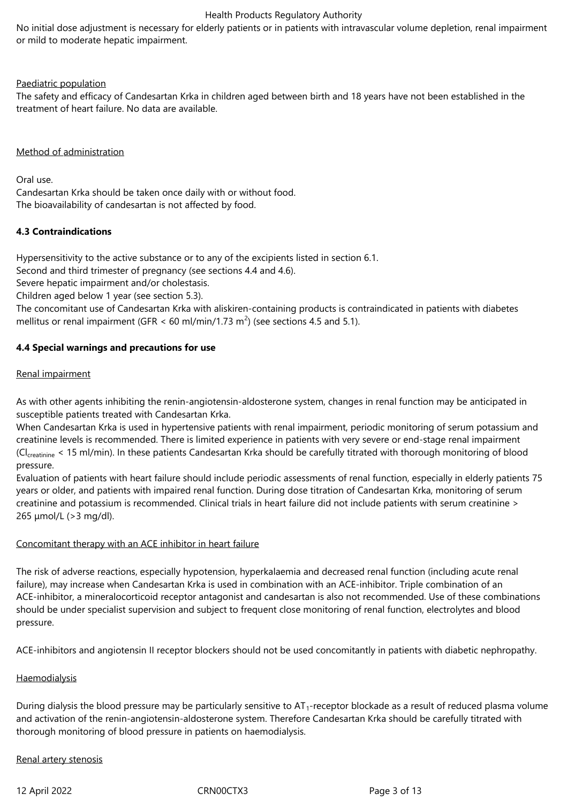No initial dose adjustment is necessary for elderly patients or in patients with intravascular volume depletion, renal impairment or mild to moderate hepatic impairment.

#### Paediatric population

The safety and efficacy of Candesartan Krka in children aged between birth and 18 years have not been established in the treatment of heart failure. No data are available.

### Method of administration

Oral use. Candesartan Krka should be taken once daily with or without food. The bioavailability of candesartan is not affected by food.

## **4.3 Contraindications**

Hypersensitivity to the active substance or to any of the excipients listed in section 6.1.

Second and third trimester of pregnancy (see sections 4.4 and 4.6).

Severe hepatic impairment and/or cholestasis.

Children aged below 1 year (see section 5.3).

The concomitant use of Candesartan Krka with aliskiren-containing products is contraindicated in patients with diabetes mellitus or renal impairment (GFR < 60 ml/min/1.73 m<sup>2</sup>) (see sections 4.5 and 5.1).

## **4.4 Special warnings and precautions for use**

## Renal impairment

As with other agents inhibiting the renin-angiotensin-aldosterone system, changes in renal function may be anticipated in susceptible patients treated with Candesartan Krka.

When Candesartan Krka is used in hypertensive patients with renal impairment, periodic monitoring of serum potassium and creatinine levels is recommended. There is limited experience in patients with very severe or end-stage renal impairment (Cl<sub>creatinine</sub> < 15 ml/min). In these patients Candesartan Krka should be carefully titrated with thorough monitoring of blood pressure.

Evaluation of patients with heart failure should include periodic assessments of renal function, especially in elderly patients 75 years or older, and patients with impaired renal function. During dose titration of Candesartan Krka, monitoring of serum creatinine and potassium is recommended. Clinical trials in heart failure did not include patients with serum creatinine > 265 μmol/L (>3 mg/dl).

#### Concomitant therapy with an ACE inhibitor in heart failure

The risk of adverse reactions, especially hypotension, hyperkalaemia and decreased renal function (including acute renal failure), may increase when Candesartan Krka is used in combination with an ACE-inhibitor. Triple combination of an ACE-inhibitor, a mineralocorticoid receptor antagonist and candesartan is also not recommended. Use of these combinations should be under specialist supervision and subject to frequent close monitoring of renal function, electrolytes and blood pressure.

ACE-inhibitors and angiotensin II receptor blockers should not be used concomitantly in patients with diabetic nephropathy.

# **Haemodialysis**

During dialysis the blood pressure may be particularly sensitive to  $AT_1$ -receptor blockade as a result of reduced plasma volume and activation of the renin-angiotensin-aldosterone system. Therefore Candesartan Krka should be carefully titrated with thorough monitoring of blood pressure in patients on haemodialysis.

#### Renal artery stenosis

12 April 2022 CRN00CTX3 Page 3 of 13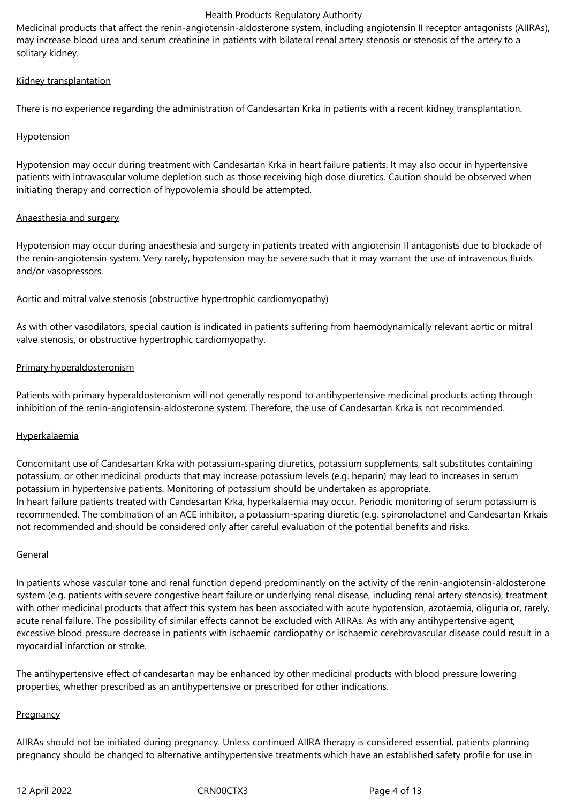Medicinal products that affect the renin-angiotensin-aldosterone system, including angiotensin II receptor antagonists (AIIRAs), may increase blood urea and serum creatinine in patients with bilateral renal artery stenosis or stenosis of the artery to a solitary kidney.

## Kidney transplantation

There is no experience regarding the administration of Candesartan Krka in patients with a recent kidney transplantation.

## **Hypotension**

Hypotension may occur during treatment with Candesartan Krka in heart failure patients. It may also occur in hypertensive patients with intravascular volume depletion such as those receiving high dose diuretics. Caution should be observed when initiating therapy and correction of hypovolemia should be attempted.

## Anaesthesia and surgery

Hypotension may occur during anaesthesia and surgery in patients treated with angiotensin II antagonists due to blockade of the renin-angiotensin system. Very rarely, hypotension may be severe such that it may warrant the use of intravenous fluids and/or vasopressors.

## Aortic and mitral valve stenosis (obstructive hypertrophic cardiomyopathy)

As with other vasodilators, special caution is indicated in patients suffering from haemodynamically relevant aortic or mitral valve stenosis, or obstructive hypertrophic cardiomyopathy.

## Primary hyperaldosteronism

Patients with primary hyperaldosteronism will not generally respond to antihypertensive medicinal products acting through inhibition of the renin-angiotensin-aldosterone system. Therefore, the use of Candesartan Krka is not recommended.

#### Hyperkalaemia

Concomitant use of Candesartan Krka with potassium-sparing diuretics, potassium supplements, salt substitutes containing potassium, or other medicinal products that may increase potassium levels (e.g. heparin) may lead to increases in serum potassium in hypertensive patients. Monitoring of potassium should be undertaken as appropriate. In heart failure patients treated with Candesartan Krka, hyperkalaemia may occur. Periodic monitoring of serum potassium is recommended. The combination of an ACE inhibitor, a potassium-sparing diuretic (e.g. spironolactone) and Candesartan Krkais not recommended and should be considered only after careful evaluation of the potential benefits and risks.

#### **General**

In patients whose vascular tone and renal function depend predominantly on the activity of the renin-angiotensin-aldosterone system (e.g. patients with severe congestive heart failure or underlying renal disease, including renal artery stenosis), treatment with other medicinal products that affect this system has been associated with acute hypotension, azotaemia, oliguria or, rarely, acute renal failure. The possibility of similar effects cannot be excluded with AIIRAs. As with any antihypertensive agent, excessive blood pressure decrease in patients with ischaemic cardiopathy or ischaemic cerebrovascular disease could result in a myocardial infarction or stroke.

The antihypertensive effect of candesartan may be enhanced by other medicinal products with blood pressure lowering properties, whether prescribed as an antihypertensive or prescribed for other indications.

# **Pregnancy**

AIIRAs should not be initiated during pregnancy. Unless continued AIIRA therapy is considered essential, patients planning pregnancy should be changed to alternative antihypertensive treatments which have an established safety profile for use in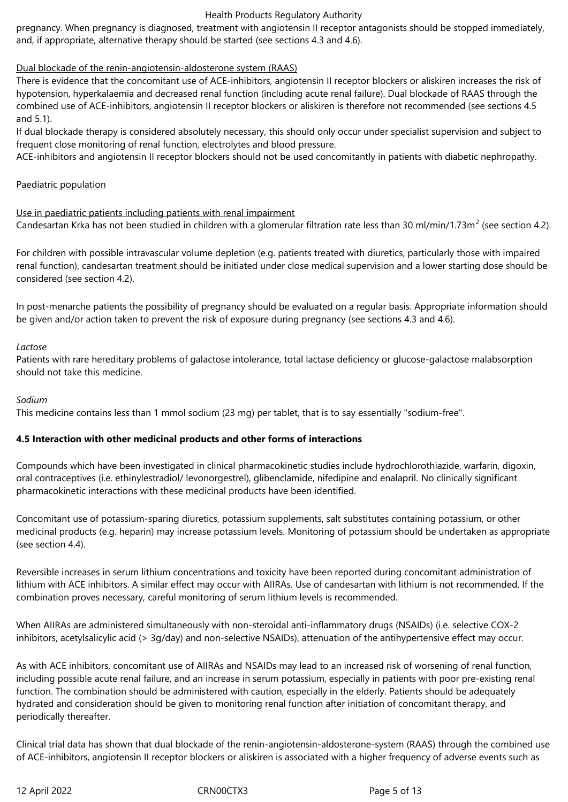pregnancy. When pregnancy is diagnosed, treatment with angiotensin II receptor antagonists should be stopped immediately, and, if appropriate, alternative therapy should be started (see sections 4.3 and 4.6).

# Dual blockade of the renin-angiotensin-aldosterone system (RAAS)

There is evidence that the concomitant use of ACE-inhibitors, angiotensin II receptor blockers or aliskiren increases the risk of hypotension, hyperkalaemia and decreased renal function (including acute renal failure). Dual blockade of RAAS through the combined use of ACE-inhibitors, angiotensin II receptor blockers or aliskiren is therefore not recommended (see sections 4.5 and 5.1).

If dual blockade therapy is considered absolutely necessary, this should only occur under specialist supervision and subject to frequent close monitoring of renal function, electrolytes and blood pressure.

ACE-inhibitors and angiotensin II receptor blockers should not be used concomitantly in patients with diabetic nephropathy.

#### Paediatric population

Use in paediatric patients including patients with renal impairment Candesartan Krka has not been studied in children with a glomerular filtration rate less than 30 ml/min/1.73m<sup>2</sup> (see section 4.2).

For children with possible intravascular volume depletion (e.g. patients treated with diuretics, particularly those with impaired renal function), candesartan treatment should be initiated under close medical supervision and a lower starting dose should be considered (see section 4.2).

In post-menarche patients the possibility of pregnancy should be evaluated on a regular basis. Appropriate information should be given and/or action taken to prevent the risk of exposure during pregnancy (see sections 4.3 and 4.6).

#### *Lactose*

Patients with rare hereditary problems of galactose intolerance, total lactase deficiency or glucose-galactose malabsorption should not take this medicine.

#### *Sodium*

This medicine contains less than 1 mmol sodium (23 mg) per tablet, that is to say essentially "sodium-free".

#### **4.5 Interaction with other medicinal products and other forms of interactions**

Compounds which have been investigated in clinical pharmacokinetic studies include hydrochlorothiazide, warfarin, digoxin, oral contraceptives (i.e. ethinylestradiol/ levonorgestrel), glibenclamide, nifedipine and enalapril. No clinically significant pharmacokinetic interactions with these medicinal products have been identified.

Concomitant use of potassium-sparing diuretics, potassium supplements, salt substitutes containing potassium, or other medicinal products (e.g. heparin) may increase potassium levels. Monitoring of potassium should be undertaken as appropriate (see section 4.4).

Reversible increases in serum lithium concentrations and toxicity have been reported during concomitant administration of lithium with ACE inhibitors. A similar effect may occur with AIIRAs. Use of candesartan with lithium is not recommended. If the combination proves necessary, careful monitoring of serum lithium levels is recommended.

When AIIRAs are administered simultaneously with non-steroidal anti-inflammatory drugs (NSAIDs) (i.e. selective COX-2 inhibitors, acetylsalicylic acid (> 3g/day) and non-selective NSAIDs), attenuation of the antihypertensive effect may occur.

As with ACE inhibitors, concomitant use of AIIRAs and NSAIDs may lead to an increased risk of worsening of renal function, including possible acute renal failure, and an increase in serum potassium, especially in patients with poor pre-existing renal function. The combination should be administered with caution, especially in the elderly. Patients should be adequately hydrated and consideration should be given to monitoring renal function after initiation of concomitant therapy, and periodically thereafter.

Clinical trial data has shown that dual blockade of the renin-angiotensin-aldosterone-system (RAAS) through the combined use of ACE-inhibitors, angiotensin II receptor blockers or aliskiren is associated with a higher frequency of adverse events such as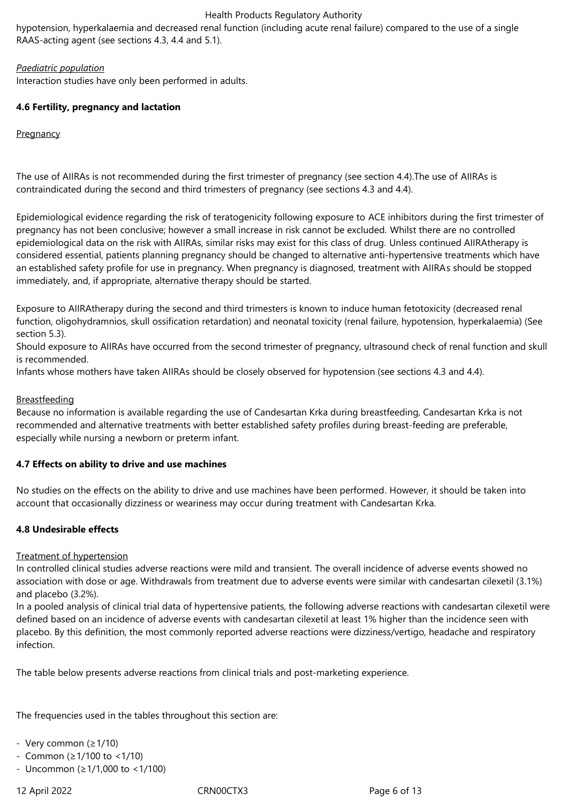hypotension, hyperkalaemia and decreased renal function (including acute renal failure) compared to the use of a single RAAS-acting agent (see sections 4.3, 4.4 and 5.1).

# *Paediatric population*

Interaction studies have only been performed in adults.

# **4.6 Fertility, pregnancy and lactation**

**Pregnancy** 

The use of AIIRAs is not recommended during the first trimester of pregnancy (see section 4.4).The use of AIIRAs is contraindicated during the second and third trimesters of pregnancy (see sections 4.3 and 4.4).

Epidemiological evidence regarding the risk of teratogenicity following exposure to ACE inhibitors during the first trimester of pregnancy has not been conclusive; however a small increase in risk cannot be excluded. Whilst there are no controlled epidemiological data on the risk with AIIRAs, similar risks may exist for this class of drug. Unless continued AIIRAtherapy is considered essential, patients planning pregnancy should be changed to alternative anti-hypertensive treatments which have an established safety profile for use in pregnancy. When pregnancy is diagnosed, treatment with AIIRAs should be stopped immediately, and, if appropriate, alternative therapy should be started.

Exposure to AIIRAtherapy during the second and third trimesters is known to induce human fetotoxicity (decreased renal function, oligohydramnios, skull ossification retardation) and neonatal toxicity (renal failure, hypotension, hyperkalaemia) (See section 5.3).

Should exposure to AIIRAs have occurred from the second trimester of pregnancy, ultrasound check of renal function and skull is recommended.

Infants whose mothers have taken AIIRAs should be closely observed for hypotension (see sections 4.3 and 4.4).

### **Breastfeeding**

Because no information is available regarding the use of Candesartan Krka during breastfeeding, Candesartan Krka is not recommended and alternative treatments with better established safety profiles during breast-feeding are preferable, especially while nursing a newborn or preterm infant.

#### **4.7 Effects on ability to drive and use machines**

No studies on the effects on the ability to drive and use machines have been performed. However, it should be taken into account that occasionally dizziness or weariness may occur during treatment with Candesartan Krka.

#### **4.8 Undesirable effects**

#### Treatment of hypertension

In controlled clinical studies adverse reactions were mild and transient. The overall incidence of adverse events showed no association with dose or age. Withdrawals from treatment due to adverse events were similar with candesartan cilexetil (3.1%) and placebo (3.2%).

In a pooled analysis of clinical trial data of hypertensive patients, the following adverse reactions with candesartan cilexetil were defined based on an incidence of adverse events with candesartan cilexetil at least 1% higher than the incidence seen with placebo. By this definition, the most commonly reported adverse reactions were dizziness/vertigo, headache and respiratory infection.

The table below presents adverse reactions from clinical trials and post-marketing experience.

The frequencies used in the tables throughout this section are:

- Very common (≥1/10)

- Common (≥1/100 to <1/10)
- Uncommon (≥1/1,000 to <1/100)

12 April 2022 CRN00CTX3 Page 6 of 13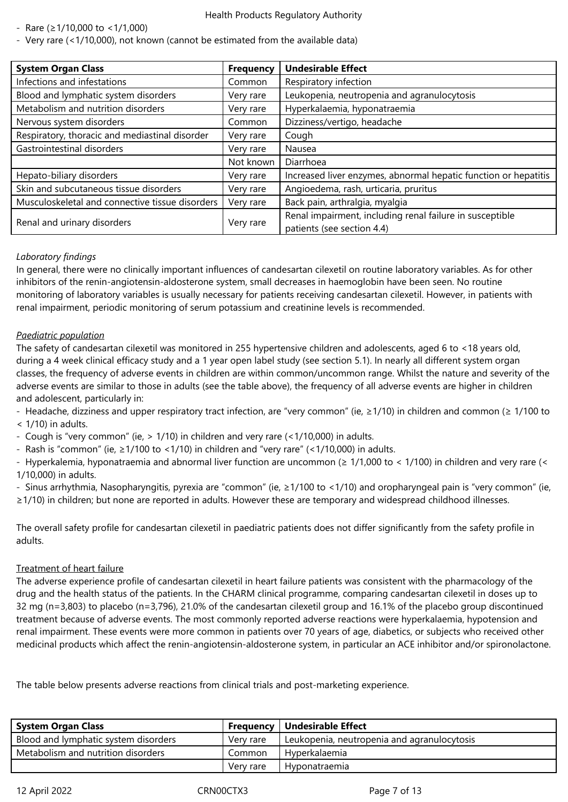- Rare (≥1/10,000 to <1/1,000)

- Very rare (<1/10,000), not known (cannot be estimated from the available data)

| <b>System Organ Class</b>                       | <b>Frequency</b> | <b>Undesirable Effect</b>                                                              |
|-------------------------------------------------|------------------|----------------------------------------------------------------------------------------|
| Infections and infestations                     | Common           | Respiratory infection                                                                  |
| Blood and lymphatic system disorders            | Very rare        | Leukopenia, neutropenia and agranulocytosis                                            |
| Metabolism and nutrition disorders              | Very rare        | Hyperkalaemia, hyponatraemia                                                           |
| Nervous system disorders                        | Common           | Dizziness/vertigo, headache                                                            |
| Respiratory, thoracic and mediastinal disorder  | Very rare        | Cough                                                                                  |
| Gastrointestinal disorders                      | Very rare        | Nausea                                                                                 |
|                                                 | Not known        | Diarrhoea                                                                              |
| Hepato-biliary disorders                        | Very rare        | Increased liver enzymes, abnormal hepatic function or hepatitis                        |
| Skin and subcutaneous tissue disorders          | Very rare        | Angioedema, rash, urticaria, pruritus                                                  |
| Musculoskeletal and connective tissue disorders | Very rare        | Back pain, arthralgia, myalgia                                                         |
| Renal and urinary disorders                     | Very rare        | Renal impairment, including renal failure in susceptible<br>patients (see section 4.4) |

# *Laboratory findings*

In general, there were no clinically important influences of candesartan cilexetil on routine laboratory variables. As for other inhibitors of the renin-angiotensin-aldosterone system, small decreases in haemoglobin have been seen. No routine monitoring of laboratory variables is usually necessary for patients receiving candesartan cilexetil. However, in patients with renal impairment, periodic monitoring of serum potassium and creatinine levels is recommended.

# *Paediatric population*

The safety of candesartan cilexetil was monitored in 255 hypertensive children and adolescents, aged 6 to <18 years old, during a 4 week clinical efficacy study and a 1 year open label study (see section 5.1). In nearly all different system organ classes, the frequency of adverse events in children are within common/uncommon range. Whilst the nature and severity of the adverse events are similar to those in adults (see the table above), the frequency of all adverse events are higher in children and adolescent, particularly in:

- Headache, dizziness and upper respiratory tract infection, are "very common" (ie, ≥1/10) in children and common (≥ 1/100 to
- $<$  1/10) in adults.
- Cough is "very common" (ie, > 1/10) in children and very rare (<1/10,000) in adults.
- Rash is "common" (ie,  $\geq$ 1/100 to <1/10) in children and "very rare" (<1/10,000) in adults.

- Hyperkalemia, hyponatraemia and abnormal liver function are uncommon (≥ 1/1,000 to < 1/100) in children and very rare (< 1/10,000) in adults.

- Sinus arrhythmia, Nasopharyngitis, pyrexia are "common" (ie, ≥1/100 to <1/10) and oropharyngeal pain is "very common" (ie, ≥1/10) in children; but none are reported in adults. However these are temporary and widespread childhood illnesses.

The overall safety profile for candesartan cilexetil in paediatric patients does not differ significantly from the safety profile in adults.

# Treatment of heart failure

The adverse experience profile of candesartan cilexetil in heart failure patients was consistent with the pharmacology of the drug and the health status of the patients. In the CHARM clinical programme, comparing candesartan cilexetil in doses up to 32 mg (n=3,803) to placebo (n=3,796), 21.0% of the candesartan cilexetil group and 16.1% of the placebo group discontinued treatment because of adverse events. The most commonly reported adverse reactions were hyperkalaemia, hypotension and renal impairment. These events were more common in patients over 70 years of age, diabetics, or subjects who received other medicinal products which affect the renin-angiotensin-aldosterone system, in particular an ACE inhibitor and/or spironolactone.

The table below presents adverse reactions from clinical trials and post-marketing experience.

| System Organ Class                   | Frequency | Undesirable Effect                          |
|--------------------------------------|-----------|---------------------------------------------|
| Blood and lymphatic system disorders | Very rare | Leukopenia, neutropenia and agranulocytosis |
| Metabolism and nutrition disorders   | Common    | Hyperkalaemia                               |
|                                      | Very rare | Hyponatraemia                               |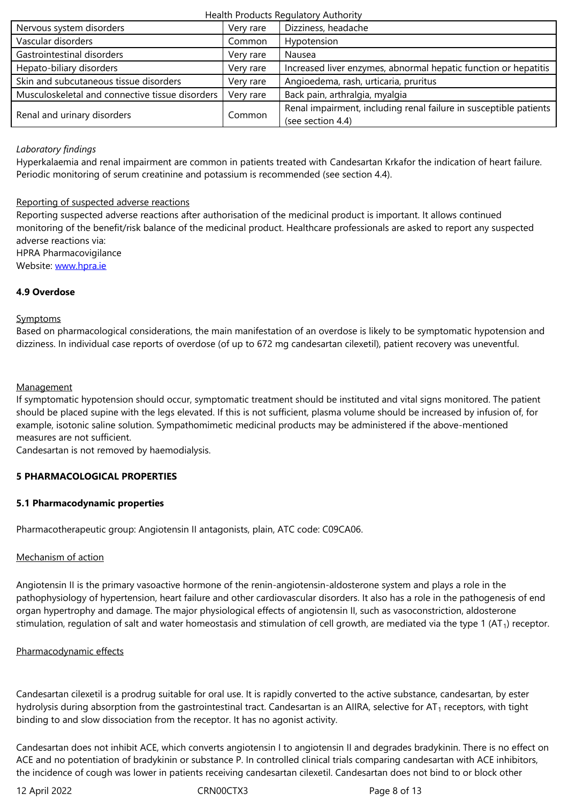| Gastrointestinal disorders                      | Very rare | Nausea                                                            |
|-------------------------------------------------|-----------|-------------------------------------------------------------------|
| Hepato-biliary disorders                        | Very rare | Increased liver enzymes, abnormal hepatic function or hepatitis   |
| Skin and subcutaneous tissue disorders          | Very rare | Angioedema, rash, urticaria, pruritus                             |
| Musculoskeletal and connective tissue disorders | Very rare | Back pain, arthralgia, myalgia                                    |
| Renal and urinary disorders                     | Common    | Renal impairment, including renal failure in susceptible patients |
|                                                 |           | (see section 4.4)                                                 |

# *Laboratory findings*

Hyperkalaemia and renal impairment are common in patients treated with Candesartan Krkafor the indication of heart failure. Periodic monitoring of serum creatinine and potassium is recommended (see section 4.4).

# Reporting of suspected adverse reactions

Reporting suspected adverse reactions after authorisation of the medicinal product is important. It allows continued monitoring of the benefit/risk balance of the medicinal product. Healthcare professionals are asked to report any suspected adverse reactions via: HPRA Pharmacovigilance

Website: www.hpra.ie

# **4.9 Overdose**

# **Sympto[ms](http://www.hpra.ie/)**

Based on pharmacological considerations, the main manifestation of an overdose is likely to be symptomatic hypotension and dizziness. In individual case reports of overdose (of up to 672 mg candesartan cilexetil), patient recovery was uneventful.

## **Management**

If symptomatic hypotension should occur, symptomatic treatment should be instituted and vital signs monitored. The patient should be placed supine with the legs elevated. If this is not sufficient, plasma volume should be increased by infusion of, for example, isotonic saline solution. Sympathomimetic medicinal products may be administered if the above-mentioned measures are not sufficient.

Candesartan is not removed by haemodialysis.

# **5 PHARMACOLOGICAL PROPERTIES**

# **5.1 Pharmacodynamic properties**

Pharmacotherapeutic group: Angiotensin II antagonists, plain, ATC code: C09CA06.

# Mechanism of action

Angiotensin II is the primary vasoactive hormone of the renin-angiotensin-aldosterone system and plays a role in the pathophysiology of hypertension, heart failure and other cardiovascular disorders. It also has a role in the pathogenesis of end organ hypertrophy and damage. The major physiological effects of angiotensin II, such as vasoconstriction, aldosterone stimulation, regulation of salt and water homeostasis and stimulation of cell growth, are mediated via the type 1 (AT<sub>1</sub>) receptor.

#### Pharmacodynamic effects

Candesartan cilexetil is a prodrug suitable for oral use. It is rapidly converted to the active substance, candesartan, by ester hydrolysis during absorption from the gastrointestinal tract. Candesartan is an AIIRA, selective for  $AT_1$  receptors, with tight binding to and slow dissociation from the receptor. It has no agonist activity.

Candesartan does not inhibit ACE, which converts angiotensin I to angiotensin II and degrades bradykinin. There is no effect on ACE and no potentiation of bradykinin or substance P. In controlled clinical trials comparing candesartan with ACE inhibitors, the incidence of cough was lower in patients receiving candesartan cilexetil. Candesartan does not bind to or block other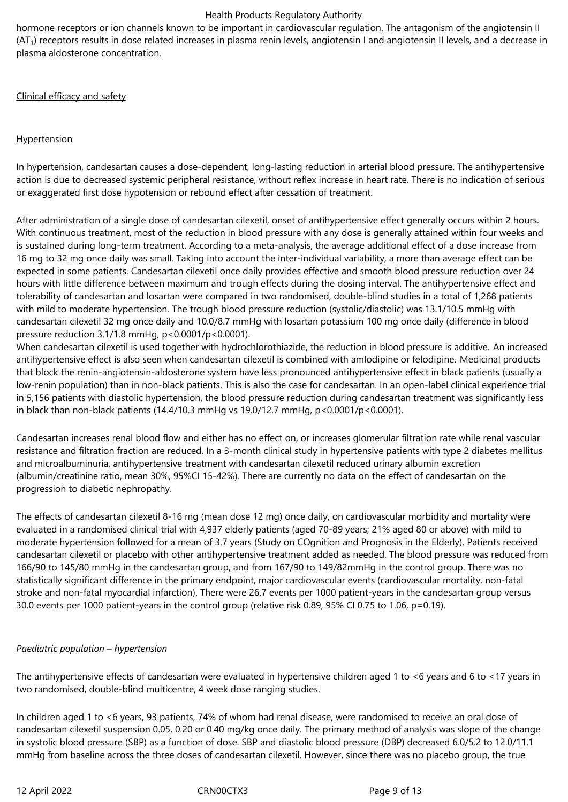hormone receptors or ion channels known to be important in cardiovascular regulation. The antagonism of the angiotensin II  $(AT<sub>1</sub>)$  receptors results in dose related increases in plasma renin levels, angiotensin I and angiotensin II levels, and a decrease in plasma aldosterone concentration.

Clinical efficacy and safety

# **Hypertension**

In hypertension, candesartan causes a dose-dependent, long-lasting reduction in arterial blood pressure. The antihypertensive action is due to decreased systemic peripheral resistance, without reflex increase in heart rate. There is no indication of serious or exaggerated first dose hypotension or rebound effect after cessation of treatment.

After administration of a single dose of candesartan cilexetil, onset of antihypertensive effect generally occurs within 2 hours. With continuous treatment, most of the reduction in blood pressure with any dose is generally attained within four weeks and is sustained during long-term treatment. According to a meta-analysis, the average additional effect of a dose increase from 16 mg to 32 mg once daily was small. Taking into account the inter-individual variability, a more than average effect can be expected in some patients. Candesartan cilexetil once daily provides effective and smooth blood pressure reduction over 24 hours with little difference between maximum and trough effects during the dosing interval. The antihypertensive effect and tolerability of candesartan and losartan were compared in two randomised, double-blind studies in a total of 1,268 patients with mild to moderate hypertension. The trough blood pressure reduction (systolic/diastolic) was 13.1/10.5 mmHg with candesartan cilexetil 32 mg once daily and 10.0/8.7 mmHg with losartan potassium 100 mg once daily (difference in blood pressure reduction 3.1/1.8 mmHg, p<0.0001/p<0.0001).

When candesartan cilexetil is used together with hydrochlorothiazide, the reduction in blood pressure is additive. An increased antihypertensive effect is also seen when candesartan cilexetil is combined with amlodipine or felodipine. Medicinal products that block the renin-angiotensin-aldosterone system have less pronounced antihypertensive effect in black patients (usually a low-renin population) than in non-black patients. This is also the case for candesartan. In an open-label clinical experience trial in 5,156 patients with diastolic hypertension, the blood pressure reduction during candesartan treatment was significantly less in black than non-black patients (14.4/10.3 mmHg vs 19.0/12.7 mmHg, p<0.0001/p<0.0001).

Candesartan increases renal blood flow and either has no effect on, or increases glomerular filtration rate while renal vascular resistance and filtration fraction are reduced. In a 3-month clinical study in hypertensive patients with type 2 diabetes mellitus and microalbuminuria, antihypertensive treatment with candesartan cilexetil reduced urinary albumin excretion (albumin/creatinine ratio, mean 30%, 95%CI 15-42%). There are currently no data on the effect of candesartan on the progression to diabetic nephropathy.

The effects of candesartan cilexetil 8-16 mg (mean dose 12 mg) once daily, on cardiovascular morbidity and mortality were evaluated in a randomised clinical trial with 4,937 elderly patients (aged 70-89 years; 21% aged 80 or above) with mild to moderate hypertension followed for a mean of 3.7 years (Study on COgnition and Prognosis in the Elderly). Patients received candesartan cilexetil or placebo with other antihypertensive treatment added as needed. The blood pressure was reduced from 166/90 to 145/80 mmHg in the candesartan group, and from 167/90 to 149/82mmHg in the control group. There was no statistically significant difference in the primary endpoint, major cardiovascular events (cardiovascular mortality, non-fatal stroke and non-fatal myocardial infarction). There were 26.7 events per 1000 patient-years in the candesartan group versus 30.0 events per 1000 patient-years in the control group (relative risk 0.89, 95% CI 0.75 to 1.06, p=0.19).

# *Paediatric population – hypertension*

The antihypertensive effects of candesartan were evaluated in hypertensive children aged 1 to <6 years and 6 to <17 years in two randomised, double-blind multicentre, 4 week dose ranging studies.

In children aged 1 to <6 years, 93 patients, 74% of whom had renal disease, were randomised to receive an oral dose of candesartan cilexetil suspension 0.05, 0.20 or 0.40 mg/kg once daily. The primary method of analysis was slope of the change in systolic blood pressure (SBP) as a function of dose. SBP and diastolic blood pressure (DBP) decreased 6.0/5.2 to 12.0/11.1 mmHg from baseline across the three doses of candesartan cilexetil. However, since there was no placebo group, the true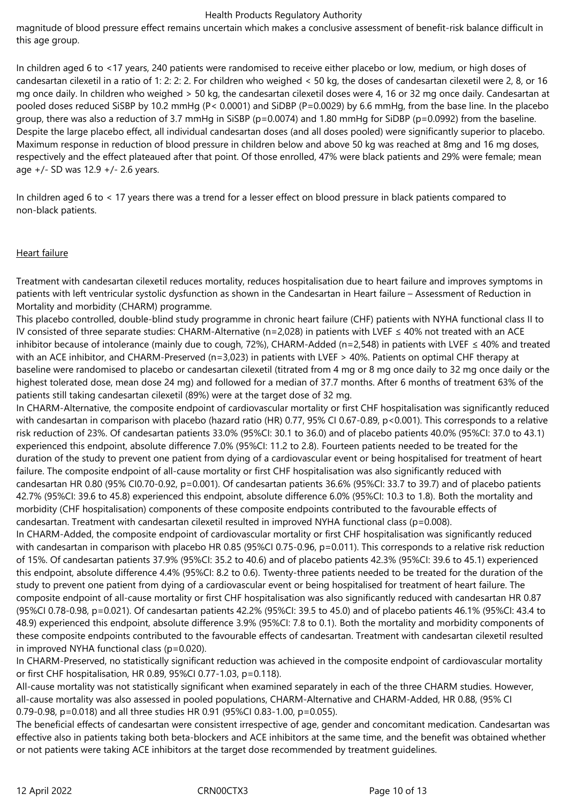magnitude of blood pressure effect remains uncertain which makes a conclusive assessment of benefit-risk balance difficult in this age group.

In children aged 6 to <17 years, 240 patients were randomised to receive either placebo or low, medium, or high doses of candesartan cilexetil in a ratio of 1: 2: 2: 2. For children who weighed < 50 kg, the doses of candesartan cilexetil were 2, 8, or 16 mg once daily. In children who weighed > 50 kg, the candesartan cilexetil doses were 4, 16 or 32 mg once daily. Candesartan at pooled doses reduced SiSBP by 10.2 mmHg (P< 0.0001) and SiDBP (P=0.0029) by 6.6 mmHg, from the base line. In the placebo group, there was also a reduction of 3.7 mmHg in SiSBP (p=0.0074) and 1.80 mmHg for SiDBP (p=0.0992) from the baseline. Despite the large placebo effect, all individual candesartan doses (and all doses pooled) were significantly superior to placebo. Maximum response in reduction of blood pressure in children below and above 50 kg was reached at 8mg and 16 mg doses, respectively and the effect plateaued after that point. Of those enrolled, 47% were black patients and 29% were female; mean age +/- SD was 12.9 +/- 2.6 years.

In children aged 6 to < 17 years there was a trend for a lesser effect on blood pressure in black patients compared to non-black patients.

## Heart failure

Treatment with candesartan cilexetil reduces mortality, reduces hospitalisation due to heart failure and improves symptoms in patients with left ventricular systolic dysfunction as shown in the Candesartan in Heart failure – Assessment of Reduction in Mortality and morbidity (CHARM) programme.

This placebo controlled, double-blind study programme in chronic heart failure (CHF) patients with NYHA functional class II to IV consisted of three separate studies: CHARM-Alternative (n=2,028) in patients with LVEF ≤ 40% not treated with an ACE inhibitor because of intolerance (mainly due to cough, 72%), CHARM-Added (n=2,548) in patients with LVEF ≤ 40% and treated with an ACE inhibitor, and CHARM-Preserved (n=3,023) in patients with LVEF > 40%. Patients on optimal CHF therapy at baseline were randomised to placebo or candesartan cilexetil (titrated from 4 mg or 8 mg once daily to 32 mg once daily or the highest tolerated dose, mean dose 24 mg) and followed for a median of 37.7 months. After 6 months of treatment 63% of the patients still taking candesartan cilexetil (89%) were at the target dose of 32 mg.

In CHARM-Alternative, the composite endpoint of cardiovascular mortality or first CHF hospitalisation was significantly reduced with candesartan in comparison with placebo (hazard ratio (HR) 0.77, 95% CI 0.67-0.89, p<0.001). This corresponds to a relative risk reduction of 23%. Of candesartan patients 33.0% (95%CI: 30.1 to 36.0) and of placebo patients 40.0% (95%CI: 37.0 to 43.1) experienced this endpoint, absolute difference 7.0% (95%CI: 11.2 to 2.8). Fourteen patients needed to be treated for the duration of the study to prevent one patient from dying of a cardiovascular event or being hospitalised for treatment of heart failure. The composite endpoint of all-cause mortality or first CHF hospitalisation was also significantly reduced with candesartan HR 0.80 (95% CI0.70-0.92, p=0.001). Of candesartan patients 36.6% (95%CI: 33.7 to 39.7) and of placebo patients 42.7% (95%CI: 39.6 to 45.8) experienced this endpoint, absolute difference 6.0% (95%CI: 10.3 to 1.8). Both the mortality and morbidity (CHF hospitalisation) components of these composite endpoints contributed to the favourable effects of candesartan. Treatment with candesartan cilexetil resulted in improved NYHA functional class (p=0.008).

In CHARM-Added, the composite endpoint of cardiovascular mortality or first CHF hospitalisation was significantly reduced with candesartan in comparison with placebo HR 0.85 (95%CI 0.75-0.96, p=0.011). This corresponds to a relative risk reduction of 15%. Of candesartan patients 37.9% (95%CI: 35.2 to 40.6) and of placebo patients 42.3% (95%CI: 39.6 to 45.1) experienced this endpoint, absolute difference 4.4% (95%CI: 8.2 to 0.6). Twenty-three patients needed to be treated for the duration of the study to prevent one patient from dying of a cardiovascular event or being hospitalised for treatment of heart failure. The composite endpoint of all-cause mortality or first CHF hospitalisation was also significantly reduced with candesartan HR 0.87 (95%CI 0.78-0.98, p=0.021). Of candesartan patients 42.2% (95%CI: 39.5 to 45.0) and of placebo patients 46.1% (95%CI: 43.4 to 48.9) experienced this endpoint, absolute difference 3.9% (95%CI: 7.8 to 0.1). Both the mortality and morbidity components of these composite endpoints contributed to the favourable effects of candesartan. Treatment with candesartan cilexetil resulted in improved NYHA functional class (p=0.020).

In CHARM-Preserved, no statistically significant reduction was achieved in the composite endpoint of cardiovascular mortality or first CHF hospitalisation, HR 0.89, 95%CI 0.77-1.03, p=0.118).

All-cause mortality was not statistically significant when examined separately in each of the three CHARM studies. However, all-cause mortality was also assessed in pooled populations, CHARM-Alternative and CHARM-Added, HR 0.88, (95% CI 0.79-0.98, p=0.018) and all three studies HR 0.91 (95%CI 0.83-1.00, p=0.055).

The beneficial effects of candesartan were consistent irrespective of age, gender and concomitant medication. Candesartan was effective also in patients taking both beta-blockers and ACE inhibitors at the same time, and the benefit was obtained whether or not patients were taking ACE inhibitors at the target dose recommended by treatment guidelines.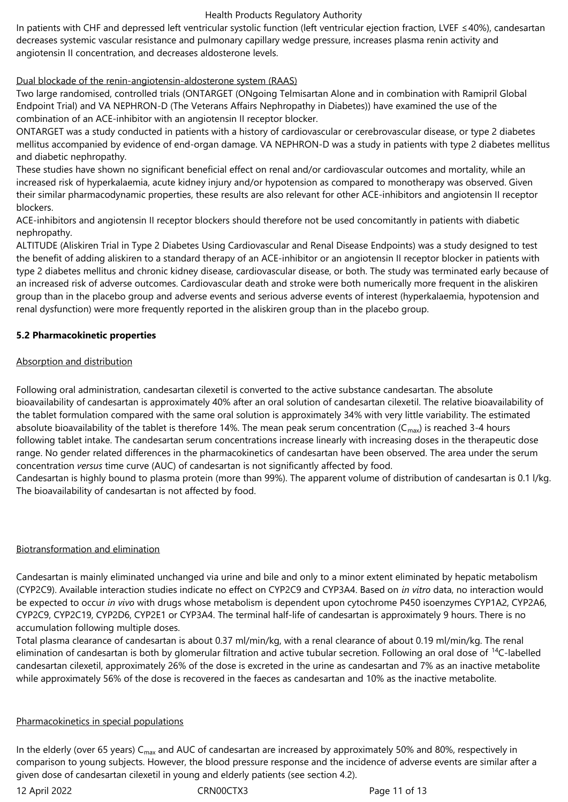In patients with CHF and depressed left ventricular systolic function (left ventricular ejection fraction, LVEF ≤40%), candesartan decreases systemic vascular resistance and pulmonary capillary wedge pressure, increases plasma renin activity and angiotensin II concentration, and decreases aldosterone levels.

# Dual blockade of the renin-angiotensin-aldosterone system (RAAS)

Two large randomised, controlled trials (ONTARGET (ONgoing Telmisartan Alone and in combination with Ramipril Global Endpoint Trial) and VA NEPHRON-D (The Veterans Affairs Nephropathy in Diabetes)) have examined the use of the combination of an ACE-inhibitor with an angiotensin II receptor blocker.

ONTARGET was a study conducted in patients with a history of cardiovascular or cerebrovascular disease, or type 2 diabetes mellitus accompanied by evidence of end-organ damage. VA NEPHRON-D was a study in patients with type 2 diabetes mellitus and diabetic nephropathy.

These studies have shown no significant beneficial effect on renal and/or cardiovascular outcomes and mortality, while an increased risk of hyperkalaemia, acute kidney injury and/or hypotension as compared to monotherapy was observed. Given their similar pharmacodynamic properties, these results are also relevant for other ACE-inhibitors and angiotensin II receptor blockers.

ACE-inhibitors and angiotensin II receptor blockers should therefore not be used concomitantly in patients with diabetic nephropathy.

ALTITUDE (Aliskiren Trial in Type 2 Diabetes Using Cardiovascular and Renal Disease Endpoints) was a study designed to test the benefit of adding aliskiren to a standard therapy of an ACE-inhibitor or an angiotensin II receptor blocker in patients with type 2 diabetes mellitus and chronic kidney disease, cardiovascular disease, or both. The study was terminated early because of an increased risk of adverse outcomes. Cardiovascular death and stroke were both numerically more frequent in the aliskiren group than in the placebo group and adverse events and serious adverse events of interest (hyperkalaemia, hypotension and renal dysfunction) were more frequently reported in the aliskiren group than in the placebo group.

## **5.2 Pharmacokinetic properties**

## Absorption and distribution

Following oral administration, candesartan cilexetil is converted to the active substance candesartan. The absolute bioavailability of candesartan is approximately 40% after an oral solution of candesartan cilexetil. The relative bioavailability of the tablet formulation compared with the same oral solution is approximately 34% with very little variability. The estimated absolute bioavailability of the tablet is therefore 14%. The mean peak serum concentration ( $C_{max}$ ) is reached 3-4 hours following tablet intake. The candesartan serum concentrations increase linearly with increasing doses in the therapeutic dose range. No gender related differences in the pharmacokinetics of candesartan have been observed. The area under the serum concentration *versus* time curve (AUC) of candesartan is not significantly affected by food.

Candesartan is highly bound to plasma protein (more than 99%). The apparent volume of distribution of candesartan is 0.1 l/kg. The bioavailability of candesartan is not affected by food.

#### Biotransformation and elimination

Candesartan is mainly eliminated unchanged via urine and bile and only to a minor extent eliminated by hepatic metabolism (CYP2C9). Available interaction studies indicate no effect on CYP2C9 and CYP3A4. Based on *in vitro* data, no interaction would be expected to occur *in vivo* with drugs whose metabolism is dependent upon cytochrome P450 isoenzymes CYP1A2, CYP2A6, CYP2C9, CYP2C19, CYP2D6, CYP2E1 or CYP3A4. The terminal half-life of candesartan is approximately 9 hours. There is no accumulation following multiple doses.

Total plasma clearance of candesartan is about 0.37 ml/min/kg, with a renal clearance of about 0.19 ml/min/kg. The renal elimination of candesartan is both by glomerular filtration and active tubular secretion. Following an oral dose of <sup>14</sup>C-labelled candesartan cilexetil, approximately 26% of the dose is excreted in the urine as candesartan and 7% as an inactive metabolite while approximately 56% of the dose is recovered in the faeces as candesartan and 10% as the inactive metabolite.

#### Pharmacokinetics in special populations

In the elderly (over 65 years)  $C_{max}$  and AUC of candesartan are increased by approximately 50% and 80%, respectively in comparison to young subjects. However, the blood pressure response and the incidence of adverse events are similar after a given dose of candesartan cilexetil in young and elderly patients (see section 4.2).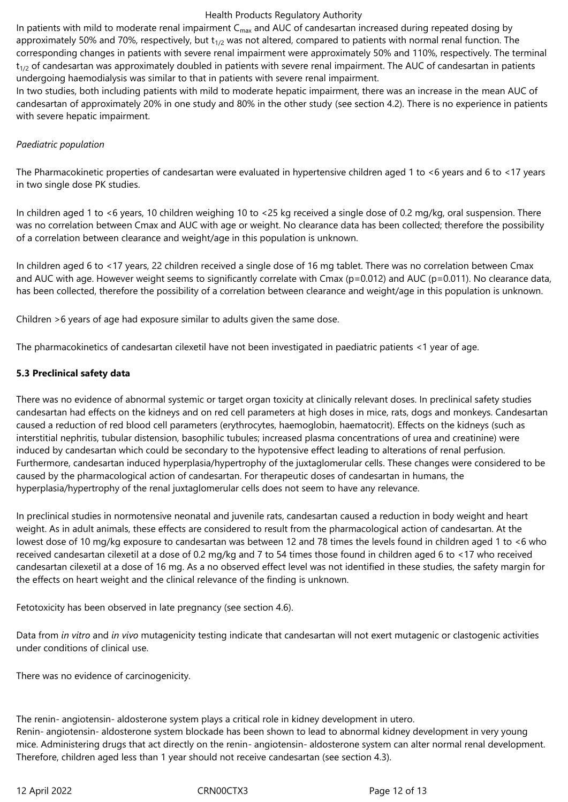In patients with mild to moderate renal impairment  $C_{\text{max}}$  and AUC of candesartan increased during repeated dosing by approximately 50% and 70%, respectively, but  $t_{1/2}$  was not altered, compared to patients with normal renal function. The corresponding changes in patients with severe renal impairment were approximately 50% and 110%, respectively. The terminal  $t_{1/2}$  of candesartan was approximately doubled in patients with severe renal impairment. The AUC of candesartan in patients undergoing haemodialysis was similar to that in patients with severe renal impairment.

In two studies, both including patients with mild to moderate hepatic impairment, there was an increase in the mean AUC of candesartan of approximately 20% in one study and 80% in the other study (see section 4.2). There is no experience in patients with severe hepatic impairment.

### *Paediatric population*

The Pharmacokinetic properties of candesartan were evaluated in hypertensive children aged 1 to <6 years and 6 to <17 years in two single dose PK studies.

In children aged 1 to <6 years, 10 children weighing 10 to <25 kg received a single dose of 0.2 mg/kg, oral suspension. There was no correlation between Cmax and AUC with age or weight. No clearance data has been collected; therefore the possibility of a correlation between clearance and weight/age in this population is unknown.

In children aged 6 to <17 years, 22 children received a single dose of 16 mg tablet. There was no correlation between Cmax and AUC with age. However weight seems to significantly correlate with Cmax ( $p=0.012$ ) and AUC ( $p=0.011$ ). No clearance data, has been collected, therefore the possibility of a correlation between clearance and weight/age in this population is unknown.

Children >6 years of age had exposure similar to adults given the same dose.

The pharmacokinetics of candesartan cilexetil have not been investigated in paediatric patients <1 year of age.

## **5.3 Preclinical safety data**

There was no evidence of abnormal systemic or target organ toxicity at clinically relevant doses. In preclinical safety studies candesartan had effects on the kidneys and on red cell parameters at high doses in mice, rats, dogs and monkeys. Candesartan caused a reduction of red blood cell parameters (erythrocytes, haemoglobin, haematocrit). Effects on the kidneys (such as interstitial nephritis, tubular distension, basophilic tubules; increased plasma concentrations of urea and creatinine) were induced by candesartan which could be secondary to the hypotensive effect leading to alterations of renal perfusion. Furthermore, candesartan induced hyperplasia/hypertrophy of the juxtaglomerular cells. These changes were considered to be caused by the pharmacological action of candesartan. For therapeutic doses of candesartan in humans, the hyperplasia/hypertrophy of the renal juxtaglomerular cells does not seem to have any relevance.

In preclinical studies in normotensive neonatal and juvenile rats, candesartan caused a reduction in body weight and heart weight. As in adult animals, these effects are considered to result from the pharmacological action of candesartan. At the lowest dose of 10 mg/kg exposure to candesartan was between 12 and 78 times the levels found in children aged 1 to <6 who received candesartan cilexetil at a dose of 0.2 mg/kg and 7 to 54 times those found in children aged 6 to <17 who received candesartan cilexetil at a dose of 16 mg. As a no observed effect level was not identified in these studies, the safety margin for the effects on heart weight and the clinical relevance of the finding is unknown.

Fetotoxicity has been observed in late pregnancy (see section 4.6).

Data from *in vitro* and *in vivo* mutagenicity testing indicate that candesartan will not exert mutagenic or clastogenic activities under conditions of clinical use.

There was no evidence of carcinogenicity.

The renin- angiotensin- aldosterone system plays a critical role in kidney development in utero. Renin‑ angiotensin‑ aldosterone system blockade has been shown to lead to abnormal kidney development in very young mice. Administering drugs that act directly on the renin‑ angiotensin‑ aldosterone system can alter normal renal development. Therefore, children aged less than 1 year should not receive candesartan (see section 4.3).